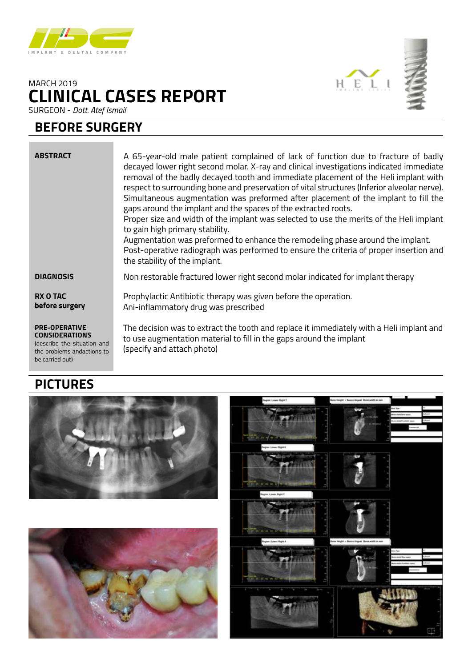

# **CLINICAL CASES REPORT** MARCH 2019



### **BEFORE SURGERY**

#### **ABSTRACT DIAGNOSIS RX O TAC before surgery PRE-OPERATIVE CONSIDERATIONS** (describe the situation and the problems andactions to A 65-year-old male patient complained of lack of function due to fracture of badly decayed lower right second molar. X-ray and clinical investigations indicated immediate removal of the badly decayed tooth and immediate placement of the Heli implant with respect to surrounding bone and preservation of vital structures (Inferior alveolar nerve). Simultaneous augmentation was preformed after placement of the implant to fill the gaps around the implant and the spaces of the extracted roots. Proper size and width of the implant was selected to use the merits of the Heli implant to gain high primary stability. Augmentation was preformed to enhance the remodeling phase around the implant. Post-operative radiograph was performed to ensure the criteria of proper insertion and the stability of the implant. Non restorable fractured lower right second molar indicated for implant therapy Prophylactic Antibiotic therapy was given before the operation. Ani-inflammatory drug was prescribed The decision was to extract the tooth and replace it immediately with a Heli implant and to use augmentation material to fill in the gaps around the implant (specify and attach photo)

## **PICTURES**

be carried out)







HELI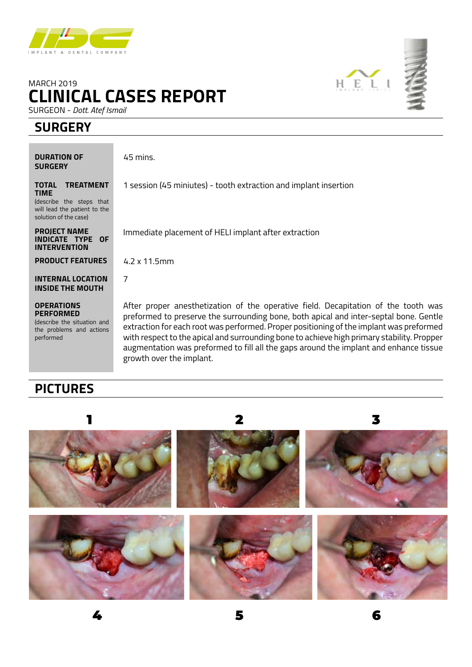

# **CLINICAL CASES REPORT** MARCH 2019

SURGEON - *Dott. Atef Ismail*

## **SURGERY**

**DURATION OF SURGERY**

45 mins.

**TOTAL TREATMENT TIME** (describe the steps that

will lead the patient to the solution of the case)

**PROJECT NAME INDICATE TYPE OF INTERVENTION**

**PRODUCT FEATURES**

**INTERNAL LOCATION INSIDE THE MOUTH**

**OPERATIONS PERFORMED** (describe the situation and the problems and actions performed

Immediate placement of HELI implant after extraction

1 session (45 miniutes) - tooth extraction and implant insertion

4.2 x 11.5mm

7

After proper anesthetization of the operative field. Decapitation of the tooth was preformed to preserve the surrounding bone, both apical and inter-septal bone. Gentle extraction for each root was performed. Proper positioning of the implant was preformed with respect to the apical and surrounding bone to achieve high primary stability. Propper augmentation was preformed to fill all the gaps around the implant and enhance tissue growth over the implant.

# **PICTURES**